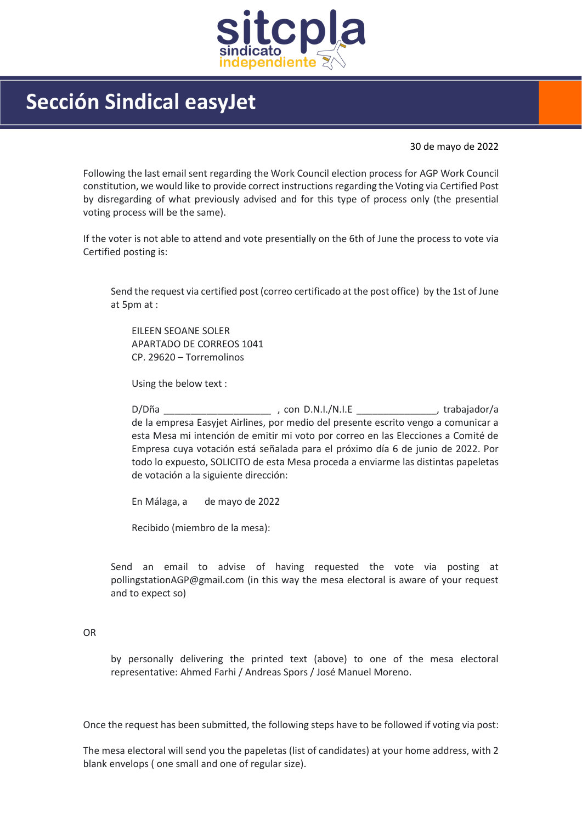

## Sección Sindical easyJet

30 de mayo de 2022

Following the last email sent regarding the Work Council election process for AGP Work Council constitution, we would like to provide correct instructions regarding the Voting via Certified Post by disregarding of what previously advised and for this type of process only (the presential voting process will be the same).

If the voter is not able to attend and vote presentially on the 6th of June the process to vote via Certified posting is:

Send the request via certified post (correo certificado at the post office) by the 1st of June at 5pm at :

EILEEN SEOANE SOLER APARTADO DE CORREOS 1041 CP. 29620 – Torremolinos

Using the below text :

D/Dña \_\_\_\_\_\_\_\_\_\_\_\_\_\_\_\_\_\_\_\_ , con D.N.I./N.I.E \_\_\_\_\_\_\_\_\_\_\_\_\_\_\_, trabajador/a de la empresa Easyjet Airlines, por medio del presente escrito vengo a comunicar a esta Mesa mi intención de emitir mi voto por correo en las Elecciones a Comité de Empresa cuya votación está señalada para el próximo día 6 de junio de 2022. Por todo lo expuesto, SOLICITO de esta Mesa proceda a enviarme las distintas papeletas de votación a la siguiente dirección:

En Málaga, a de mayo de 2022

Recibido (miembro de la mesa):

Send an email to advise of having requested the vote via posting at pollingstationAGP@gmail.com (in this way the mesa electoral is aware of your request and to expect so)

## OR

by personally delivering the printed text (above) to one of the mesa electoral representative: Ahmed Farhi / Andreas Spors / José Manuel Moreno.

Once the request has been submitted, the following steps have to be followed if voting via post:

The mesa electoral will send you the papeletas (list of candidates) at your home address, with 2 blank envelops ( one small and one of regular size).